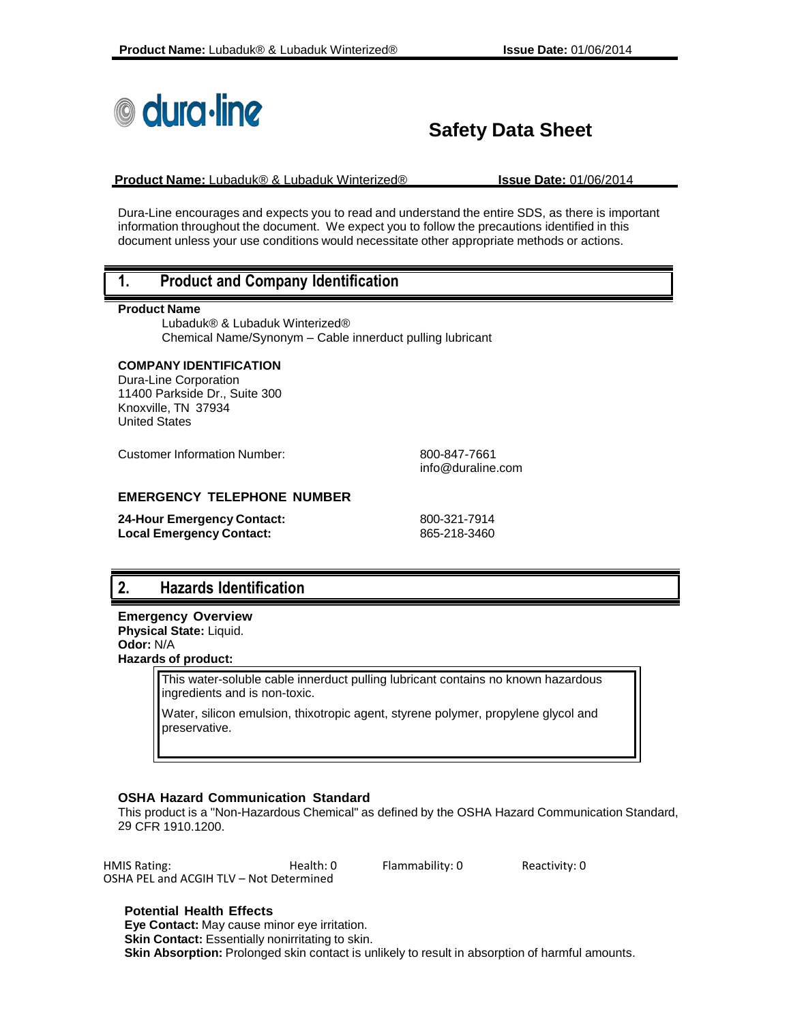

# **Safety Data Sheet**

**Product Name:** Lubaduk® & Lubaduk Winterized® **Issue Date:** 01/06/2014

Dura-Line encourages and expects you to read and understand the entire SDS, as there is important information throughout the document. We expect you to follow the precautions identified in this document unless your use conditions would necessitate other appropriate methods or actions.

#### **1. Product and Company Identification**

#### **Product Name**

Lubaduk® & Lubaduk Winterized® Chemical Name/Synonym – Cable innerduct pulling lubricant

#### **COMPANY IDENTIFICATION**

Dura-Line Corporation 11400 Parkside Dr., Suite 300 Knoxville, TN 37934 United States

Customer Information Number: 600-847-7661

[info@duraline.com](mailto:SDSQuestion@dow.com)

#### **EMERGENCY TELEPHONE NUMBER**

| 24-Hour Emergency Contact: | 800-321-7914 |
|----------------------------|--------------|
| Local Emergency Contact:   | 865-218-3460 |

## **2. Hazards Identification**

**Emergency Overview Physical State:** Liquid. **Odor:** N/A **Hazards of product:**

> This water-soluble cable innerduct pulling lubricant contains no known hazardous ingredients and is non-toxic.

Water, silicon emulsion, thixotropic agent, styrene polymer, propylene glycol and preservative.

#### **OSHA Hazard Communication Standard**

This product is a "Non-Hazardous Chemical" as defined by the OSHA Hazard Communication Standard, 29 CFR 1910.1200.

| <b>HMIS Rating:</b>                     | Health: 0 | Flammability: 0 | Reactivity: 0 |
|-----------------------------------------|-----------|-----------------|---------------|
| OSHA PEL and ACGIH TLV - Not Determined |           |                 |               |

**Potential Health Effects Eye Contact:** May cause minor eye irritation. **Skin Contact:** Essentially nonirritating to skin. **Skin Absorption:** Prolonged skin contact is unlikely to result in absorption of harmful amounts.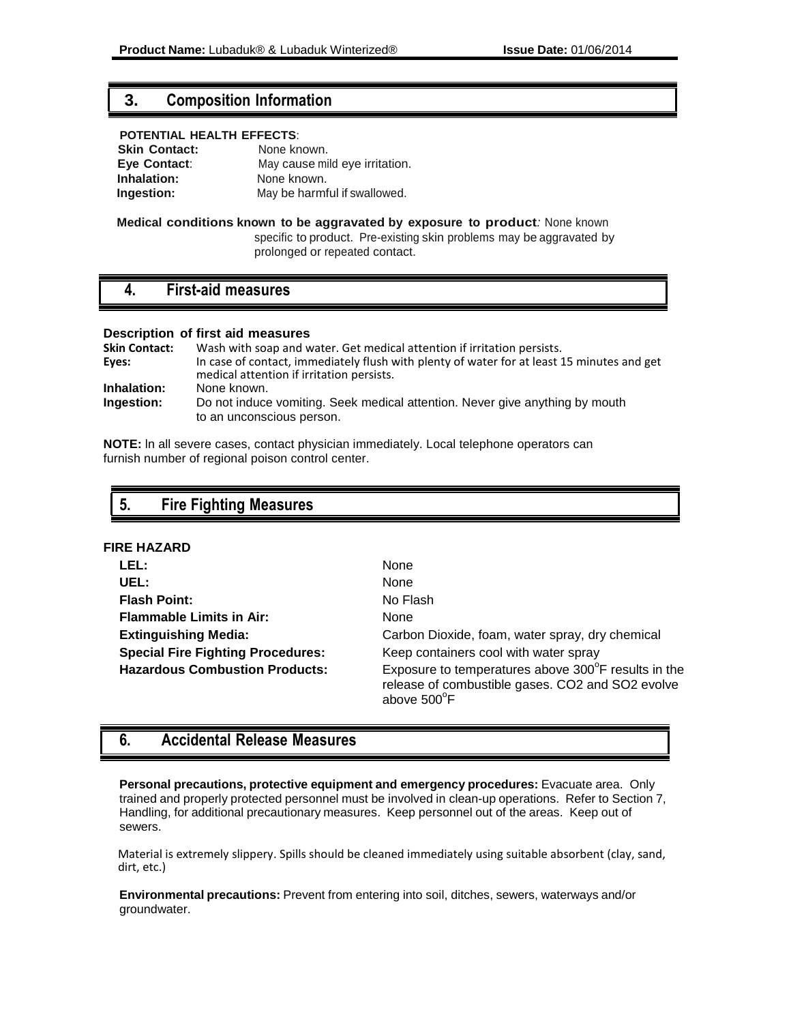#### **3. Composition Information**

#### **POTENTIAL HEALTH EFFECTS**:

| <b>Skin Contact:</b> | None known.                    |  |
|----------------------|--------------------------------|--|
| Eye Contact:         | May cause mild eye irritation. |  |
| Inhalation:          | None known.                    |  |
| Ingestion:           | May be harmful if swallowed.   |  |

#### **Medical conditions known to be aggravated by exposure to product***:* None known specific to product. Pre-existing skin problems may be aggravated by prolonged or repeated contact.

#### **4. First-aid measures**

#### **Description of first aid measures**

| <b>Skin Contact:</b> | Wash with soap and water. Get medical attention if irritation persists.                                                                 |
|----------------------|-----------------------------------------------------------------------------------------------------------------------------------------|
| Eyes:                | In case of contact, immediately flush with plenty of water for at least 15 minutes and get<br>medical attention if irritation persists. |
| Inhalation:          | None known.                                                                                                                             |
| <b>Ingestion:</b>    | Do not induce vomiting. Seek medical attention. Never give anything by mouth<br>to an unconscious person.                               |

**NOTE:** ln all severe cases, contact physician immediately. Local telephone operators can furnish number of regional poison control center.

## **5. Fire Fighting Measures**

#### **FIRE HAZARD**

| LEL:                                     | None                                                                                                                   |
|------------------------------------------|------------------------------------------------------------------------------------------------------------------------|
| UEL:                                     | None                                                                                                                   |
| <b>Flash Point:</b>                      | No Flash                                                                                                               |
| <b>Flammable Limits in Air:</b>          | <b>None</b>                                                                                                            |
| <b>Extinguishing Media:</b>              | Carbon Dioxide, foam, water spray, dry chemical                                                                        |
| <b>Special Fire Fighting Procedures:</b> | Keep containers cool with water spray                                                                                  |
| <b>Hazardous Combustion Products:</b>    | Exposure to temperatures above 300°F results in the<br>release of combustible gases. CO2 and SO2 evolve<br>above 500°F |

## **6. Accidental Release Measures**

**Personal precautions, protective equipment and emergency procedures:** Evacuate area. Only trained and properly protected personnel must be involved in clean-up operations. Refer to Section 7, Handling, for additional precautionary measures. Keep personnel out of the areas. Keep out of sewers.

Material is extremely slippery. Spills should be cleaned immediately using suitable absorbent (clay, sand, dirt, etc.)

**Environmental precautions:** Prevent from entering into soil, ditches, sewers, waterways and/or groundwater.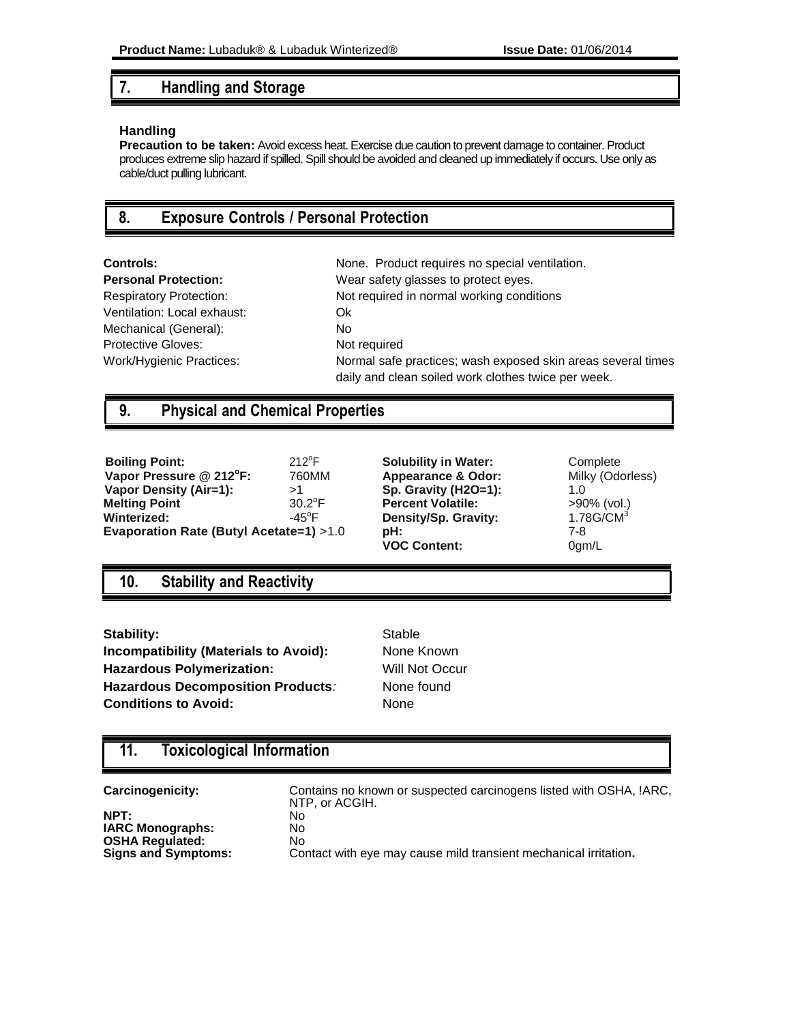## **7. Handling and Storage**

#### **Handling**

**Precaution to be taken:** Avoid excess heat. Exercise due caution to prevent damage to container. Product produces extreme slip hazard if spilled. Spill should be avoided and cleaned up immediately if occurs. Use only as cable/duct pulling lubricant.

## **8. Exposure Controls / Personal Protection**

Ventilation: Local exhaust: Ok Mechanical (General): No Protective Gloves: Not required

**Controls:** None. Product requires no special ventilation. **Personal Protection:** Wear safety glasses to protect eyes. Respiratory Protection: Not required in normal working conditions Work/Hygienic Practices: Normal safe practices; wash exposed skin areas several times daily and clean soiled work clothes twice per week.

## **9. Physical and Chemical Properties**

| <b>Boiling Point:</b>                   | $212^{\circ}F$           | <b>Solubility in Water:</b>   | Coı  |
|-----------------------------------------|--------------------------|-------------------------------|------|
| Vapor Pressure @ 212°F:                 | 760MM                    | <b>Appearance &amp; Odor:</b> | Mill |
| Vapor Density (Air=1):                  | >1                       | Sp. Gravity (H2O=1):          | 1.0  |
| <b>Melting Point</b>                    | $30.2^{\circ}$ F         | <b>Percent Volatile:</b>      | >90  |
| Winterized:                             | -45 $\mathrm{^{\circ}F}$ | Density/Sp. Gravity:          | 1.7  |
| Evaporation Rate (Butyl Acetate=1) >1.0 |                          | pH:                           | 7-8  |

**Solubility in Water:** 2012 Complete **Appearance & Odor:** Milky (Odorless) **Sp. Gravity (H2O=1):** 1.0 **Percent Volatile:**  $>90\%$  (vol.) **Density/Sp. Gravity:** 1.78G/CM<sup>3</sup> **VOC Content:** 0gm/L

## **10. Stability and Reactivity**

Stability: Stable Stable **Incompatibility (Materials to Avoid):** None Known **Hazardous Polymerization:** Will Not Occur Hazardous Decomposition Products: None found **Conditions to Avoid:** None

## **11. Toxicological Information**

**NPT: IARC Monographs:** No **OSHA Regulated:** No

**Carcinogenicity:** Contains no known or suspected carcinogens listed with OSHA, !ARC, NTP, or ACGIH. **Signs and Symptoms:** Contact with eye may cause mild transient mechanical irritation**.**